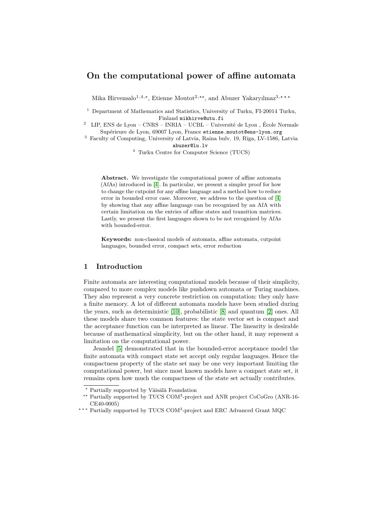# **On the computational power of affine automata**

Mika Hirvensalo<sup>1,4,\*</sup>, Etienne Moutot<sup>2,\*\*</sup>, and Abuzer Yakaryılmaz<sup>3,\*\*\*</sup>

- <sup>1</sup> Department of Mathematics and Statistics, University of Turku, FI-20014 Turku, Finland mikhirve@utu.fi
- LIP, ENS de Lyon  $\mathrm{CNRS}$   $\mathrm{INRIA}$   $\mathrm{UCBL}$   $\mathrm{Université}$  de Lyon , École Normale Supérieure de Lyon, 69007 Lyon, France etienne.moutot@ens-lyon.org
- $^3\,$  Faculty of Computing, University of Latvia, Raina bulv. 19, Rīga, LV-1586, Latvia abuzer@lu.lv
	- <sup>4</sup> Turku Centre for Computer Science (TUCS)

**Abstract.** We investigate the computational power of affine automata (AfAs) introduced in [\[4\]](#page-11-0). In particular, we present a simpler proof for how to change the cutpoint for any affine language and a method how to reduce error in bounded error case. Moreover, we address to the question of [\[4\]](#page-11-0) by showing that any affine language can be recognized by an AfA with certain limitation on the entries of affine states and transition matrices. Lastly, we present the first languages shown to be not recognized by AfAs with bounded-error.

**Keywords:** non-classical models of automata, affine automata, cutpoint languages, bounded error, compact sets, error reduction

## **1 Introduction**

Finite automata are interesting computational models because of their simplicity, compared to more complex models like pushdown automata or Turing machines. They also represent a very concrete restriction on computation: they only have a finite memory. A lot of different automata models have been studied during the years, such as deterministic [\[10\]](#page-11-1), probabilistic [\[8\]](#page-11-2) and quantum [\[2\]](#page-11-3) ones. All these models share two common features: the state vector set is compact and the acceptance function can be interpreted as linear. The linearity is desirable because of mathematical simplicity, but on the other hand, it may represent a limitation on the computational power.

Jeandel [\[5\]](#page-11-4) demonstrated that in the bounded-error acceptance model the finite automata with compact state set accept only regular languages. Hence the compactness property of the state set may be one very important limiting the computational power, but since most known models have a compact state set, it remains open how much the compactness of the state set actually contributes.

*<sup>?</sup>* Partially supported by Väisälä Foundation

<sup>\*\*</sup> Partially supported by TUCS COM<sup>3</sup>-project and ANR project CoCoGro (ANR-16-CE40-0005)

<sup>\*\*\*</sup> Partially supported by TUCS COM<sup>3</sup>-project and ERC Advanced Grant MQC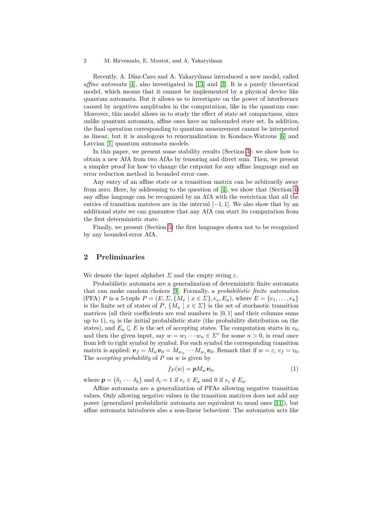Recently, A. Díaz-Caro and A. Yakaryılmaz introduced a new model, called *affine automata* [\[4\]](#page-11-0), also investigated in [\[13\]](#page-11-5) and [\[3\]](#page-11-6). It is a purely theoretical model, which means that it cannot be implemented by a physical device like quantum automata. But it allows us to investigate on the power of interference caused by negatives amplitudes in the computation, like in the quantum case. Moreover, this model allows us to study the effect of state set compactness, since unlike quantum automata, affine ones have an unbounded state set. In addition, the final operation corresponding to quantum measurement cannot be interpreted as linear, but it is analogous to renormalization in Kondacs-Watrous [\[6\]](#page-11-7) and Latvian [\[1\]](#page-11-8) quantum automata models.

In this paper, we present some stability results (Section [3\)](#page-3-0): we show how to obtain a new AfA from two AfAs by tensoring and direct sum. Then, we present a simpler proof for how to change the cutpoint for any affine language and an error reduction method in bounded error case.

Any entry of an affine state or a transition matrix can be arbitrarily away from zero. Here, by addressing to the question of [\[4\]](#page-11-0), we show that (Section [4\)](#page-6-0) any affine language can be recognized by an AfA with the restriction that all the entries of transition matrices are in the interval [−1*,* 1]. We also show that by an additional state we can guarantee that any AfA can start its computation from the first deterministic state.

Finally, we present (Section [5\)](#page-7-0) the first languages shown not to be recognized by any bounded-error AfA.

### **2 Preliminaries**

We denote the input alphabet  $\Sigma$  and the empty string  $\varepsilon$ .

Probabilistic automata are a generalization of deterministic finite automata that can make random choices [\[9\]](#page-11-9). Formally, a *probabilistic finite automaton* (PFA) *P* is a 5-tuple  $P = (E, \Sigma, \{M_x \mid x \in \Sigma\}, e_s, E_a)$ , where  $E = \{e_1, \ldots, e_k\}$ is the finite set of states of *P*,  $\{M_x \mid x \in \Sigma\}$  is the set of stochastic transition matrices (all their coefficients are real numbers in [0*,* 1] and their columns sums up to 1),  $v_0$  is the initial probabilistic state (the probability distribution on the states), and  $E_a \subseteq E$  is the set of accepting states. The computation starts in  $v_0$ , and then the given input, say  $w = w_1 \cdots w_n \in \Sigma^*$  for some  $n > 0$ , is read once from left to right symbol by symbol. For each symbol the corresponding transition matrix is applied:  $\mathbf{v}_f = M_w \mathbf{v}_0 = M_{w_n} \cdots M_{w_1} \mathbf{v}_0$ . Remark that if  $w = \varepsilon$ ,  $v_f = v_0$ . The *accepting probability* of *P* on *w* is given by

<span id="page-1-0"></span>
$$
f_P(w) = \boldsymbol{p} M_w \boldsymbol{v}_0,\tag{1}
$$

where  $p = (\delta_1 \cdots \delta_k)$  and  $\delta_i = 1$  if  $e_i \in E_a$  and 0 if  $e_i \notin E_a$ .

Affine automata are a generalization of PFAs allowing negative transition values. Only allowing negative values in the transition matrices does not add any power (generalized probabilistic automata are equivalent to usual ones [\[11\]](#page-11-10)), but affine automata introduces also a non-linear behaviour. The automaton acts like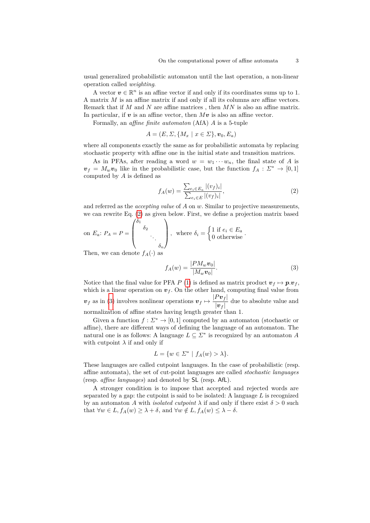usual generalized probabilistic automaton until the last operation, a non-linear operation called *weighting*.

A vector  $v \in \mathbb{R}^n$  is an affine vector if and only if its coordinates sums up to 1. A matrix *M* is an affine matrix if and only if all its columns are affine vectors. Remark that if *M* and *N* are affine matrices , then *MN* is also an affine matrix. In particular, if  $v$  is an affine vector, then  $Mv$  is also an affine vector.

Formally, an *affine finite automaton* (AfA) *A* is a 5-tuple

$$
A = (E, \Sigma, \{M_x \mid x \in \Sigma\}, \boldsymbol{v}_0, E_a)
$$

where all components exactly the same as for probabilistic automata by replacing stochastic property with affine one in the initial state and transition matrices.

As in PFAs, after reading a word  $w = w_1 \cdots w_n$ , the final state of *A* is  $v_f = M_w v_0$  like in the probabilistic case, but the function  $f_A: \Sigma^* \to [0,1]$ computed by *A* is defined as

<span id="page-2-0"></span>
$$
f_A(w) = \frac{\sum_{e_i \in E_a} |(v_f)_i|}{\sum_{e_i \in E} |(v_f)_i|},\tag{2}
$$

and referred as the *accepting value* of *A* on *w*. Similar to projective measurements, we can rewrite Eq. [\(2\)](#page-2-0) as given below. First, we define a projection matrix based

on 
$$
E_a
$$
:  $P_A = P = \begin{pmatrix} \delta_1 & & & \\ & \delta_2 & & \\ & & \ddots & \\ & & & \delta_n \end{pmatrix}$ , where  $\delta_i = \begin{cases} 1 \text{ if } e_i \in E_a \\ 0 \text{ otherwise.} \end{cases}$ .

Then, we can denote  $f_A(\cdot)$  as

<span id="page-2-1"></span>
$$
f_A(w) = \frac{|PM_w v_0|}{|M_w v_0|}.
$$
 (3)

Notice that the final value for PFA *P* [\(1\)](#page-1-0) is defined as matrix product  $v_f \mapsto p.v_f$ , which is a linear operation on  $v_f$ . On the other hand, computing final value from  $v_f$  as in [\(3\)](#page-2-1) involves nonlinear operations  $v_f \mapsto \frac{|Pv_f|}{|v_f|}$  $\frac{|\boldsymbol{v}_f|}{|\boldsymbol{v}_f|}$  due to absolute value and normalization of affine states having length greater than 1.

Given a function  $f: \Sigma^* \to [0, 1]$  computed by an automaton (stochastic or affine), there are different ways of defining the language of an automaton. The natural one is as follows: A language  $L \subseteq \Sigma^*$  is recognized by an automaton A with cutpoint  $\lambda$  if and only if

$$
L = \{ w \in \Sigma^* \mid f_A(w) > \lambda \}.
$$

These languages are called cutpoint languages. In the case of probabilistic (resp. affine automata), the set of cut-point languages are called *stochastic languages* (resp. *affine languages*) and denoted by SL (resp. AfL).

A stronger condition is to impose that accepted and rejected words are separated by a gap: the cutpoint is said to be isolated: A language *L* is recognized by an automaton *A* with *isolated cutpoint*  $\lambda$  if and only if there exist  $\delta > 0$  such that  $\forall w \in L, f_A(w) \geq \lambda + \delta$ , and  $\forall w \notin L, f_A(w) \leq \lambda - \delta$ .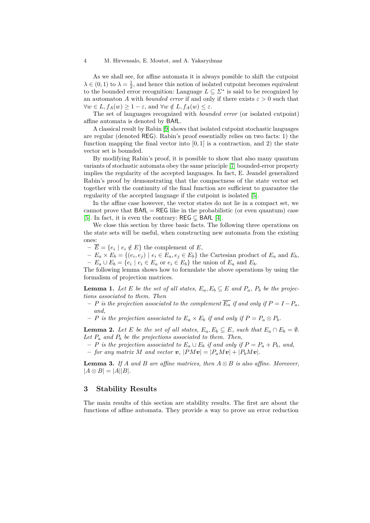As we shall see, for affine automata it is always possible to shift the cutpoint  $\lambda \in (0,1)$  to  $\lambda = \frac{1}{2}$ , and hence this notion of isolated cutpoint becomes equivalent to the bounded error recognition: Language  $L \subseteq \Sigma^*$  is said to be recognized by an automaton *A* with *bounded error* if and only if there exists  $\varepsilon > 0$  such that  $\forall w \in L, f_A(w) \geq 1 - \varepsilon$ , and  $\forall w \notin L, f_A(w) \leq \varepsilon$ .

The set of languages recognized with *bounded error* (or isolated cutpoint) affine automata is denoted by BAfL.

A classical result by Rabin [\[9\]](#page-11-9) shows that isolated cutpoint stochastic languages are regular (denoted REG). Rabin's proof essentially relies on two facts: 1) the function mapping the final vector into  $[0, 1]$  is a contraction, and 2) the state vector set is bounded.

By modifying Rabin's proof, it is possible to show that also many quantum variants of stochastic automata obey the same principle [\[7\]](#page-11-11) bounded-error property implies the regularity of the accepted languages. In fact, E. Jeandel generalized Rabin's proof by demonstrating that the compactness of the state vector set together with the continuity of the final function are sufficient to guarantee the regularity of the accepted language if the cutpoint is isolated [\[5\]](#page-11-4).

In the affine case however, the vector states do not lie in a compact set, we cannot prove that  $BAfL = REG$  like in the probabilistic (or even quantum) case [\[5\]](#page-11-4). In fact, it is even the contrary: REG  $\subseteq$  BAfL [\[4\]](#page-11-0).

We close this section by three basic facts. The following three operations on the state sets will be useful, when constructing new automata from the existing ones:

 $-\overline{E} = \{e_i \mid e_i \notin E\}$  the complement of *E*,

 $-E_a \times E_b = \{(e_i, e_j) \mid e_i \in E_a, e_j \in E_b\}$  the Cartesian product of  $E_a$  and  $E_b$ ,  $− E_a ∪ E_b = {e_i | e_i ∈ E_a \text{ or } e_i ∈ E_b}$  the union of  $E_a$  and  $E_b$ .

The following lemma shows how to formulate the above operations by using the formalism of projection matrices.

<span id="page-3-2"></span>**Lemma 1.** *Let E be the set of all states,*  $E_a$ ,  $E_b \subseteq E$  *and*  $P_a$ ,  $P_b$  *be the projections associated to them. Then*

- $−$  *P* is the projection associated to the complement  $\overline{E_a}$  if and only if  $P = I P_a$ . *and,*
- $P$  *is the projection associated to*  $E_a \times E_b$  *if and only if*  $P = P_a \otimes P_b$ *.*

**Lemma 2.** Let *E be the set of all states,*  $E_a, E_b \subseteq E$ *, such that*  $E_a \cap E_b = \emptyset$ *.* Let  $P_a$  and  $P_b$  be the projections associated to them. Then,

 $P$  *is the projection associated to*  $E_a ∪ E_b$  *if and only if*  $P = P_a + P_b$ *, and,* 

 $-$  *for any matrix*  $M$  *and vector*  $v$ *,*  $|PMv| = |P_aMv| + |P_bMv|$ *.* 

<span id="page-3-1"></span>**Lemma 3.** *If A and B are affine matrices, then*  $A \otimes B$  *is also affine. Moreover,*  $|A \otimes B| = |A||B|$ .

### <span id="page-3-0"></span>**3 Stability Results**

The main results of this section are stability results. The first are about the functions of affine automata. They provide a way to prove an error reduction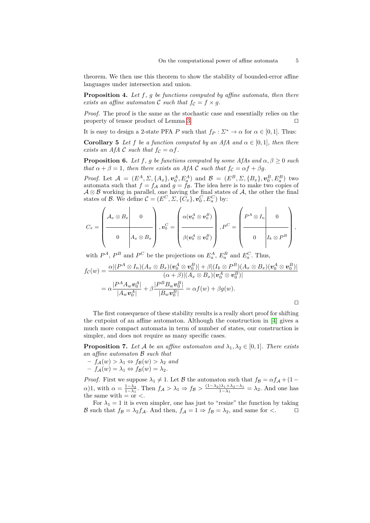theorem. We then use this theorem to show the stability of bounded-error affine languages under intersection and union.

**Proposition 4.** *Let f, g be functions computed by affine automata, then there exists an affine automaton* C *such that*  $f_c = f \times q$ *.* 

*Proof.* The proof is the same as the stochastic case and essentially relies on the property of tensor product of Lemma [3.](#page-3-1)  $\Box$ 

It is easy to design a 2-state PFA *P* such that  $f_P: \Sigma^* \to \alpha$  for  $\alpha \in [0,1]$ . Thus:

**Corollary 5** *Let f be a function computed by an AfA and*  $\alpha \in [0, 1]$ *, then there exists an AfA* C *such that*  $f_c = \alpha f$ .

**Proposition 6.** *Let*  $f$ *,*  $g$  *be functions computed by some AfAs and*  $\alpha$ *,*  $\beta \geq 0$  *such that*  $\alpha + \beta = 1$ *, then there exists an AfA* C *such that*  $f_c = \alpha f + \beta g$ *.* 

*Proof.* Let  $A = (E^A, \Sigma, \{A_x\}, v_0^A, E_a^A)$  and  $B = (E^B, \Sigma, \{B_x\}, v_0^B, E_a^B)$  two automata such that  $f = f_A$  and  $g = f_B$ . The idea here is to make two copies of  $\mathcal{A} \otimes \mathcal{B}$  working in parallel, one having the final states of  $\mathcal{A}$ , the other the final states of B. We define  $\mathcal{C} = (E^C, \Sigma, \{\tilde{C}_x\}, \mathbf{v}_0^C, E_a^C)$  by:

$$
C_x = \left(\begin{array}{c|c} A_x \otimes B_x & 0 \\ \hline & & \\ 0 & A_x \otimes B_x \end{array}\right), v_0^C = \left(\begin{array}{c|c} \alpha(v_0^A \otimes v_0^B) & 0 \\ \hline & & \\ \beta(v_0^A \otimes v_0^B) & \end{array}\right), P^C = \left(\begin{array}{c|c} P^A \otimes I_n & 0 \\ \hline & & \\ 0 & I_k \otimes P^B \end{array}\right),
$$

with  $P^A$ ,  $P^B$  and  $P^C$  be the projections on  $E_a^A$ ,  $E_a^B$  and  $E_a^C$ . Thus,

$$
f_{\mathcal{C}}(w) = \frac{\alpha |(P^A \otimes I_n)(A_x \otimes B_x)(\mathbf{v}_0^A \otimes \mathbf{v}_0^B)| + \beta |(I_k \otimes P^B)(A_x \otimes B_x)(\mathbf{v}_0^A \otimes \mathbf{v}_0^B)|}{(\alpha + \beta) |(A_x \otimes B_x)(\mathbf{v}_0^A \otimes \mathbf{v}_0^B)|}
$$
  
= 
$$
\alpha \frac{|P^A A_w \mathbf{v}_0^A|}{|A_w \mathbf{v}_0^A|} + \beta \frac{|P^B B_w \mathbf{v}_0^B|}{|B_w \mathbf{v}_0^B|} = \alpha f(w) + \beta g(w).
$$

The first consequence of these stability results is a really short proof for shifting the cutpoint of an affine automaton. Although the construction in [\[4\]](#page-11-0) gives a much more compact automata in term of number of states, our construction is simpler, and does not require as many specific cases.

**Proposition 7.** Let A be an affine automaton and  $\lambda_1, \lambda_2 \in [0,1]$ . There exists *an affine automaton* B *such that*

 $- f_A(w) > \lambda_1 \Leftrightarrow f_B(w) > \lambda_2$  *and*  $-f_A(w) = \lambda_1 \Leftrightarrow f_B(w) = \lambda_2.$ 

*Proof.* First we suppose  $\lambda_1 \neq 1$ . Let B the automaton such that  $f_{\mathcal{B}} = \alpha f_{\mathcal{A}} + (1 \alpha$ )1, with  $\alpha = \frac{1-\lambda_2}{1-\lambda_1}$ . Then  $f_{\mathcal{A}} > \lambda_1 \Rightarrow f_{\mathcal{B}} > \frac{(1-\lambda_2)\lambda_1 + \lambda_2 - \lambda_1}{1-\lambda_1}$  $\frac{1-\lambda_1+\lambda_2-\lambda_1}{1-\lambda_1} = \lambda_2$ . And one has the same with  $=$  or  $\lt$ .

For  $\lambda_1 = 1$  it is even simpler, one has just to "resize" the function by taking B such that  $f_{\mathcal{B}} = \lambda_2 f_{\mathcal{A}}$ . And then,  $f_{\mathcal{A}} = 1 \Rightarrow f_{\mathcal{B}} = \lambda_2$ , and same for  $\lt$ .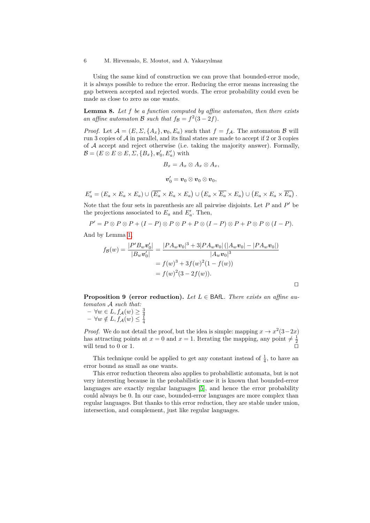Using the same kind of construction we can prove that bounded-error mode, it is always possible to reduce the error. Reducing the error means increasing the gap between accepted and rejected words. The error probability could even be made as close to zero as one wants.

**Lemma 8.** *Let f be a function computed by affine automaton, then there exists an affine automaton* B *such that*  $f_B = f^2(3 - 2f)$ *.* 

*Proof.* Let  $\mathcal{A} = (E, \Sigma, \{A_x\}, v_0, E_a)$  such that  $f = f_{\mathcal{A}}$ . The automaton  $\mathcal{B}$  will run 3 copies of  $A$  in parallel, and its final states are made to accept if 2 or 3 copies of  $A$  accept and reject otherwise (i.e. taking the majority answer). Formally,  $\mathcal{B} = (E \otimes E \otimes E, \Sigma, \{B_x\}, \mathbf{v}'_0, E'_a)$  with

$$
B_x = A_x \otimes A_x \otimes A_x,
$$
  

$$
\boldsymbol{v}'_0 = \boldsymbol{v}_0 \otimes \boldsymbol{v}_0 \otimes \boldsymbol{v}_0,
$$

$$
E'_a = (E_a \times E_a \times E_a) \cup (\overline{E_a} \times E_a \times E_a) \cup (E_a \times \overline{E_a} \times E_a) \cup (E_a \times E_a \times \overline{E_a}).
$$

Note that the four sets in parenthesis are all pairwise disjoints. Let  $P$  and  $P'$  be the projections associated to  $E_a$  and  $E'_a$ . Then,

$$
P' = P \otimes P \otimes P + (I - P) \otimes P \otimes P + P \otimes (I - P) \otimes P + P \otimes P \otimes (I - P).
$$

And by Lemma [1,](#page-3-2)

$$
f_{\mathcal{B}}(w) = \frac{|P'B_w \mathbf{v}_0'|}{|B_w \mathbf{v}_0'|} = \frac{|PA_w \mathbf{v}_0|^3 + 3|PA_w \mathbf{v}_0| (|A_w \mathbf{v}_0| - |PA_w \mathbf{v}_0|)}{|A_w \mathbf{v}_0|^3}
$$
  
=  $f(w)^3 + 3f(w)^2(1 - f(w))$   
=  $f(w)^2(3 - 2f(w)).$ 

<span id="page-5-0"></span>**Proposition 9 (error reduction).** *Let L* ∈ BAfL*. There exists an affine automaton* A *such that:*

$$
- \forall w \in L, f_{\mathcal{A}}(w) \geq \frac{3}{4}
$$
  

$$
- \forall w \notin L, f_{\mathcal{A}}(w) \leq \frac{1}{4}
$$

*Proof.* We do not detail the proof, but the idea is simple: mapping  $x \to x^2(3-2x)$ has attracting points at  $x = 0$  and  $x = 1$ . Iterating the mapping, any point  $\neq \frac{1}{2}$ will tend to  $0$  or  $1$ .

This technique could be applied to get any constant instead of  $\frac{1}{4}$ , to have an error bound as small as one wants.

This error reduction theorem also applies to probabilistic automata, but is not very interesting because in the probabilistic case it is known that bounded-error languages are exactly regular languages [\[5\]](#page-11-4), and hence the error probability could always be 0. In our case, bounded-error languages are more complex than regular languages. But thanks to this error reduction, they are stable under union, intersection, and complement, just like regular languages.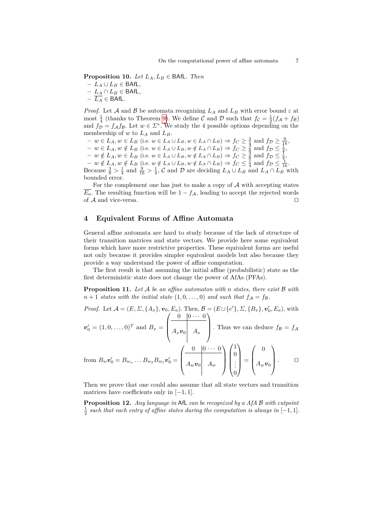**Proposition 10.** *Let*  $L_A, L_B \in \text{BAfL}$ *. Then* 

**–** *L<sup>A</sup>* ∪ *L<sup>B</sup>* ∈ BAfL*,*

**–** *L<sup>A</sup>* ∩ *L<sup>B</sup>* ∈ BAfL*,*

 $−\overline{L_A}$  ∈ BAfL.

*Proof.* Let A and B be automata recognizing  $L_A$  and  $L_B$  with error bound  $\varepsilon$  at most  $\frac{1}{4}$  (thanks to Theorem [9\)](#page-5-0). We define C and D such that  $f_c = \frac{1}{2}(f_A + f_B)$ and  $f_{\mathcal{D}} = f_{\mathcal{A}} f_{\mathcal{B}}$ . Let  $w \in \mathcal{L}^*$ . We study the 4 possible options depending on the membership of  $w$  to  $L_A$  and  $L_B$ .

 $- w \in L_A, w \in L_B$  (i.e.  $w \in L_A \cup L_B, w \in L_A \cap L_B$ ) ⇒  $f_C \geq \frac{3}{4}$  and  $f_D \geq \frac{9}{16}$ ,

 $- w \in L_A, w \notin L_B$  (i.e.  $w \in L_A \cup L_B, w \notin L_A \cap L_B$ ) ⇒  $f_C \geq \frac{3}{8}$  and  $f_D \leq \frac{1}{4}$ ,

 $-$  *w* ∉ *L*<sub>*A*</sub>, *w* ∈ *L<sub>B</sub>* (i.e. *w* ∈ *L*<sub>*A*</sub> ∪ *L<sub>B</sub>*, *w* ∉ *L*<sub>*A*</sub> ∩ *L<sub>B</sub>*) ⇒ *f<sub>C</sub>* ≥  $\frac{3}{8}$  and *f*<sub>D</sub> ≤  $\frac{1}{4}$ ,

 $- w \notin L_A, w \notin L_B$  (i.e.  $w \notin L_A \cup L_B, w \notin L_A \cap L_B$ ) ⇒  $f_C \leq \frac{1}{4}$  and  $f_D \leq \frac{1}{16}$ .

Because  $\frac{3}{8} > \frac{1}{4}$  and  $\frac{9}{16} > \frac{1}{4}$ , C and D are deciding  $L_A \cup L_B$  and  $L_A \cap L_B$  with bounded error.

For the complement one has just to make a copy of  $A$  with accepting states  $\overline{E_a}$ . The resulting function will be  $1 - f_A$ , leading to accept the rejected words of  $A$  and vice-versa.

### <span id="page-6-0"></span>**4 Equivalent Forms of Affine Automata**

General affine automata are hard to study because of the lack of structure of their transition matrices and state vectors. We provide here some equivalent forms which have more restrictive properties. These equivalent forms are useful not only because it provides simpler equivalent models but also because they provide a way understand the power of affine computation.

The first result is that assuming the initial affine (probabilistic) state as the first deterministic state does not change the power of AfAs (PFAs).

**Proposition 11.** *Let* A *be an affine automaton with n states, there exist* B *with*  $n+1$  *states with the initial state*  $(1,0,\ldots,0)$  *and such that*  $f_A = f_B$ .

*Proof.* Let 
$$
\mathcal{A} = (E, \Sigma, \{A_x\}, \mathbf{v}_0, E_a)
$$
. Then,  $\mathcal{B} = (E \cup \{e'\}, \Sigma, \{B_x\}, \mathbf{v}'_0, E_a)$ , with  

$$
\mathbf{v}'_t = (1, 0, \ldots, 0)^T
$$
 and  $\mathcal{B}_t = \begin{pmatrix} 0 & 0 & \cdots & 0 \\ \hline & & & \\ \hline & & & \\ \end{pmatrix}$  Thus we can deduce  $f_B = f_A$ .

 $v'_0 = (1, 0, \ldots, 0)^T$  and  $B_x = \begin{bmatrix} A_x v_0 \end{bmatrix}$   $A_x$   $\begin{bmatrix} A_x \end{bmatrix}$ . Thus we can deduce  $f_B = f_A$ 

from 
$$
B_w \mathbf{v}'_0 = B_{w_n} \dots B_{w_2} B_{w_1} \mathbf{v}'_0 = \begin{pmatrix} 0 & 0 & \cdots & 0 \\ A_w \mathbf{v}_0 & A_w \end{pmatrix} \begin{pmatrix} 1 \\ 0 \\ \vdots \\ 0 \end{pmatrix} = \begin{pmatrix} 0 \\ A_w \mathbf{v}_0 \end{pmatrix}.
$$

Then we prove that one could also assume that all state vectors and transition matrices have coefficients only in [−1*,* 1].

**Proposition 12.** *Any language in* AfL *can be recognized by a AfA* B *with cutpoint*  $\frac{1}{2}$  such that each entry of affine states during the computation is always in  $[-1, 1]$ *.*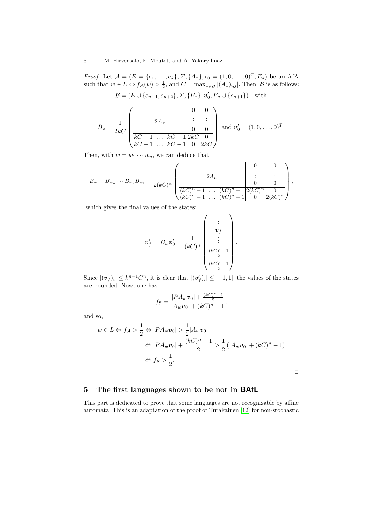*Proof.* Let  $\mathcal{A} = (E = \{e_1, \ldots, e_k\}, \Sigma, \{A_x\}, v_0 = (1, 0, \ldots, 0)^T, E_a)$  be an AfA such that  $w \in L \Leftrightarrow f_{\mathcal{A}}(w) > \frac{1}{2}$ , and  $C = \max_{x,i,j} |(A_x)_{i,j}|$ . Then,  $\mathcal{B}$  is as follows:

$$
\mathcal{B} = (E \cup \{e_{n+1}, e_{n+2}\}, \Sigma, \{B_x\}, \mathbf{v}'_0, E_a \cup \{e_{n+1}\}) \text{ with}
$$

$$
B_x = \frac{1}{2kC} \begin{pmatrix} 2A_x & 0 & 0 \ \vdots & \vdots & \vdots \\ \hline kC - 1 & \dots & kC - 1 \ 2kC & 0 \\ kC - 1 & \dots & kC - 1 \ 0 & 2kC \end{pmatrix} \text{ and } \mathbf{v}'_0 = (1, 0, \dots, 0)^T.
$$

Then, with  $w = w_1 \cdots w_n$ , we can deduce that

$$
B_w = B_{w_n} \cdots B_{w_2} B_{w_1} = \frac{1}{2(kC)^n} \begin{pmatrix} 0 & 0 \\ 2A_w & \vdots & \vdots \\ \frac{k(C)^n - 1}{(kC)^n - 1} & \cdots & \frac{k(C)^n - 1}{2(kC)^n} \end{pmatrix},
$$
  
\n
$$
(kC)^n - 1 \cdots (kC)^n - 1 \begin{pmatrix} 0 & 0 \\ 0 & 0 \\ 0 & 2(kC)^n \end{pmatrix},
$$

which gives the final values of the states:

$$
\mathbf{v}'_f = B_w \mathbf{v}'_0 = \frac{1}{(kC)^n} \begin{pmatrix} \vdots \\ \mathbf{v}_f \\ \vdots \\ \frac{(kC)^n - 1}{2} \\ \frac{(kC)^n - 1}{2} \end{pmatrix}.
$$

Since  $|(\boldsymbol{v}_f)_i| \leq k^{n-1}C^n$ , it is clear that  $|(\boldsymbol{v}'_f)_i| \leq [-1,1]$ : the values of the states are bounded. Now, one has

$$
f_{\mathcal{B}} = \frac{|PA_w \mathbf{v}_0| + \frac{(kC)^n - 1}{2}}{|A_w \mathbf{v}_0| + (kC)^n - 1},
$$

and so,

$$
w \in L \Leftrightarrow f_{\mathcal{A}} > \frac{1}{2} \Leftrightarrow |PA_w v_0| > \frac{1}{2} |A_w v_0|
$$
  
\n
$$
\Leftrightarrow |PA_w v_0| + \frac{(kC)^n - 1}{2} > \frac{1}{2} (|A_w v_0| + (kC)^n - 1)
$$
  
\n
$$
\Leftrightarrow f_{\mathcal{B}} > \frac{1}{2}.
$$

 $\Box$ 

# <span id="page-7-0"></span>**5 The first languages shown to be not in BAfL**

This part is dedicated to prove that some languages are not recognizable by affine automata. This is an adaptation of the proof of Turakainen [\[12\]](#page-11-12) for non-stochastic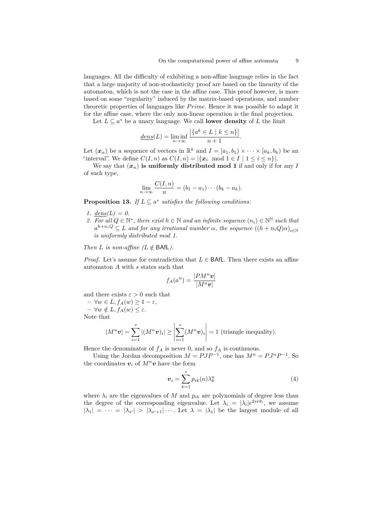languages. All the difficulty of exhibiting a non-affine language relies in the fact that a large majority of non-stochasticity proof are based on the linearity of the automaton, which is not the case in the affine case. This proof however, is more based on some "regularity" induced by the matrix-based operations, and number theoretic properties of languages like *Prime*. Hence it was possible to adapt it for the affine case, where the only non-linear operation is the final projection.

Let  $L \subseteq a^*$  be a unary language. We call **lower density** of *L* the limit

$$
\underline{dens}(L) = \liminf_{n \to \infty} \frac{\left| \{ a^k \in L \mid k \le n \} \right|}{n+1}.
$$

Let  $(\mathbf{x}_n)$  be a sequence of vectors in  $\mathbb{R}^k$  and  $I = [a_1, b_1) \times \cdots \times [a_k, b_k)$  be an "interval". We define  $C(I, n)$  as  $C(I, n) = |\{x_i \mod 1 \in I \mid 1 \le i \le n\}|.$ 

We say that  $(x_n)$  is uniformly distributed mod 1 if and only if for any *I* of such type,

$$
\lim_{n\to\infty}\frac{C(I,n)}{n}=(b_1-a_1)\cdots(b_k-a_k).
$$

<span id="page-8-3"></span>**Proposition 13.** *If*  $L \subseteq a^*$  satisfies the following conditions:

- <span id="page-8-2"></span>*1.*  $dens(L) = 0$ .
- <span id="page-8-1"></span>2. For all  $Q \in \mathbb{N}^*$ , there exist  $h \in \mathbb{N}$  and an infinite sequence  $(n_i) \in \mathbb{N}^{\mathbb{N}}$  such that  $a^{h+n_i}$ <sup>*Q*</sup>  $\subseteq$  *L and for any irrational number α, the sequence*  $((h+n_iQ)\alpha)_{i \in \mathbb{N}}$ *is uniformly distributed mod 1.*

*Then*  $L$  *is non-affine*  $(L \notin \text{BAfL})$ .

*Proof.* Let's assume for contradiction that  $L \in \mathsf{BAfL}$ . Then there exists an affine automaton *A* with *s* states such that

$$
f_A(a^n) = \frac{|PM^n v|}{|M^n v|}
$$

and there exists  $\varepsilon > 0$  such that

**–** ∀*w* ∈ *L, fA*(*w*) ≥ 1 − *ε*,  $- \forall w \notin L, f_A(w) \leq \varepsilon.$ Note that

$$
|M^n \mathbf{v}| = \sum_{i=1}^s |(M^n \mathbf{v})_i| \ge \left| \sum_{i=1}^s (M^n \mathbf{v})_i \right| = 1 \text{ (triangle inequality)}.
$$

Hence the denominator of  $f_A$  is never 0, and so  $f_A$  is continuous.

Using the Jordan decomposition  $M = PJP^{-1}$ , one has  $M^n = PJ^nP^{-1}$ . So the coordinates  $v_i$  of  $M^n v$  have the form

<span id="page-8-0"></span>
$$
\boldsymbol{v}_i = \sum_{k=1}^s p_{ik}(n) \lambda_k^n \tag{4}
$$

where  $\lambda_i$  are the eigenvalues of *M* and  $p_{ik}$  are polynomials of degree less than the degree of the corresponding eigenvalue. Let  $\lambda_i = |\lambda_i|e^{2i\pi\theta_i}$ , we assume  $|\lambda_1| = \cdots = |\lambda_{s'}| > |\lambda_{s'+1}| \cdots$ . Let  $\lambda = |\lambda_1|$  be the largest module of all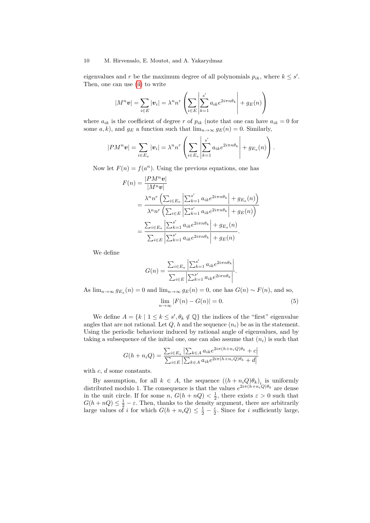eigenvalues and *r* be the maximum degree of all polynomials  $p_{ik}$ , where  $k \leq s'$ . Then, one can use [\(4\)](#page-8-0) to write

$$
|M^n \mathbf{v}| = \sum_{i \in E} |\mathbf{v}_i| = \lambda^n n^r \left( \sum_{i \in E} \left| \sum_{k=1}^{s'} a_{ik} e^{2i\pi n \theta_k} \right| + g_E(n) \right)
$$

where  $a_{ik}$  is the coefficient of degree *r* of  $p_{ik}$  (note that one can have  $a_{ik} = 0$  for some *a*, *k*), and  $g_E$  a function such that  $\lim_{n\to\infty} g_E(n) = 0$ . Similarly,

$$
|PM^n \mathbf{v}| = \sum_{i \in E_a} |\mathbf{v}_i| = \lambda^n n^r \left( \sum_{i \in E_a} \left| \sum_{k=1}^{s'} a_{ik} e^{2i\pi n \theta_k} \right| + g_{E_a}(n) \right).
$$

Now let  $F(n) = f(a^n)$ . Using the previous equations, one has

$$
F(n) = \frac{|PM^n v|}{|M^n v|}
$$
  
= 
$$
\frac{\lambda^n n^r \left( \sum_{i \in E_a} \left| \sum_{k=1}^{s'} a_{ik} e^{2i\pi n \theta_k} \right| + g_{E_a}(n) \right)}{\lambda^n n^r \left( \sum_{i \in E} \left| \sum_{k=1}^{s'} a_{ik} e^{2i\pi n \theta_k} \right| + g_E(n) \right)}
$$
  
= 
$$
\frac{\sum_{i \in E_a} \left| \sum_{k=1}^{s'} a_{ik} e^{2i\pi n \theta_k} \right| + g_{E_a}(n)}{\sum_{i \in E} \left| \sum_{k=1}^{s'} a_{ik} e^{2i\pi n \theta_k} \right| + g_E(n)}.
$$

We define

$$
G(n) = \frac{\sum_{i \in E_a} \left| \sum_{k=1}^{s'} a_{ik} e^{2i\pi n \theta_k} \right|}{\sum_{i \in E} \left| \sum_{k=1}^{s'} a_{ik} e^{2i\pi n \theta_k} \right|}.
$$

As  $\lim_{n\to\infty} g_{E_a}(n) = 0$  and  $\lim_{n\to\infty} g_E(n) = 0$ , one has  $G(n) \sim F(n)$ , and so,

<span id="page-9-0"></span>
$$
\lim_{n \to \infty} |F(n) - G(n)| = 0. \tag{5}
$$

**Contractor** 

We define  $A = \{k \mid 1 \leq k \leq s', \theta_k \notin \mathbb{Q}\}\$  the indices of the "first" eigenvalue angles that are not rational. Let  $Q$ ,  $h$  and the sequence  $(n_i)$  be as in the statement. Using the periodic behaviour induced by rational angle of eigenvalues, and by taking a subsequence of the initial one, one can also assume that  $(n_i)$  is such that

$$
G(h + n_i Q) = \frac{\sum_{i \in E_a} |\sum_{k \in A} a_{ik} e^{2i\pi(h + n_i Q)\theta_k} + c|}{\sum_{i \in E} |\sum_{k \in A} a_{ik} e^{2i\pi(h + n_i Q)\theta_k} + d|}
$$

with *c*, *d* some constants.

By assumption, for all  $k \in A$ , the sequence  $((h + n_i Q)\theta_k)_i$  is uniformly distributed modulo 1. The consequence is that the values  $e^{2i\pi(h+n_iQ)\theta_k}$  are dense in the unit circle. If for some *n*,  $G(h + nQ) < \frac{1}{2}$ , there exists  $\varepsilon > 0$  such that  $G(h + nQ) \leq \frac{1}{2} - \varepsilon$ . Then, thanks to the density argument, there are arbitrarily large values of *i* for which  $G(h + n_i Q) \leq \frac{1}{2} - \frac{\varepsilon}{2}$ . Since for *i* sufficiently large,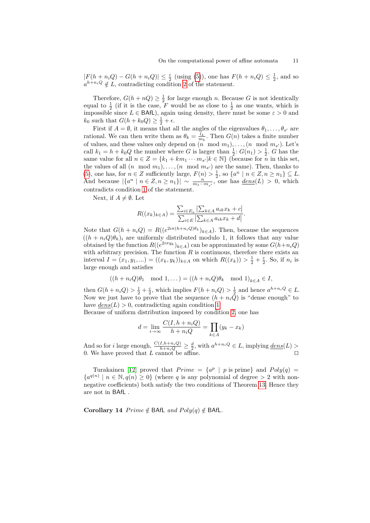$|F(h + n_iQ) - G(h + n_iQ)| \leq \frac{\varepsilon}{2}$  (using [\(5\)](#page-9-0)), one has  $F(h + n_iQ) \leq \frac{1}{2}$ , and so  $a^{h+n_i}Q \notin L$ , contradicting condition [2](#page-8-1) of the statement.

Therefore,  $G(h + nQ) \geq \frac{1}{2}$  for large enough *n*. Because *G* is not identically equal to  $\frac{1}{2}$  (if it is the case, *F* would be as close to  $\frac{1}{2}$  as one wants, which is impossible since  $L \in \mathsf{BAfL}$ , again using density, there must be some  $\varepsilon > 0$  and  $k_0$  such that  $G(h + k_0 Q) \geq \frac{1}{2} + \epsilon$ .

First if  $A = \emptyset$ , it means that all the angles of the eigenvalues  $\theta_1, \ldots, \theta_{s'}$  are rational. We can then write them as  $\theta_k = \frac{l_k}{m_k}$ . Then  $G(n)$  takes a finite number of values, and these values only depend on  $(n \mod m_1), \ldots, (n \mod m_{s'})$ . Let's call  $k_1 = h + k_0 Q$  the number where *G* is larger than  $\frac{1}{2}$ :  $G(n_1) > \frac{1}{2}$ . *G* has the same value for all  $n \in Z = \{k_1 + km_1 \cdots m_{s'} | k \in \mathbb{N}\}\)$  (because for *n* in this set, the values of all  $(n \mod m_1), \ldots, (n \mod m_{s'})$  are the same). Then, thanks to [\(5\)](#page-9-0), one has, for  $n \in \mathbb{Z}$  sufficiently large,  $F(n) > \frac{1}{2}$ , so  $\{a^n \mid n \in \mathbb{Z}, n \ge n_1\} \subseteq L$ . And because  $|\{a^n \mid n \in \mathbb{Z}, n \geq n_1\}| \sim \frac{n}{m_1 \cdots m_{s'}}$ , one has  $\text{dens}(L) > 0$ , which contradicts condition [1](#page-8-2) of the statement.

Next, if  $A \neq \emptyset$ . Let

$$
R((x_k)_{k \in A}) = \frac{\sum_{i \in E_a} |\sum_{k \in A} a_{ik} x_k + c|}{\sum_{i \in E} |\sum_{k \in A} a_{ik} x_k + d|}.
$$

Note that  $G(h + n_i Q) = R((e^{2i\pi(h + n_i Q)\theta_k})_{k \in A})$ . Then, because the sequences  $((h + n_i Q)\theta_k)_i$  are uniformly distributed modulo 1, it follows that any value obtained by the function  $R((e^{2i\pi y_k})_{k\in A})$  can be approximated by some  $G(h+n_iQ)$ with arbitrary precision. The function  $R$  is continuous, therefore there exists an interval *I* =  $(x_1, y_1, ...)$  =  $((x_k, y_k))_{k \in A}$  on which  $R((x_k)) > \frac{1}{2} + \frac{\varepsilon}{2}$ . So, if  $n_i$  is large enough and satisfies

$$
((h+n_iQ)\theta_1 \mod 1,...) = ((h+n_iQ)\theta_k \mod 1)_{k\in A} \in I,
$$

then  $G(h + n_i Q) > \frac{1}{2} + \frac{\varepsilon}{2}$ , which implies  $F(h + n_i Q) > \frac{1}{2}$  and hence  $a^{h+n_i Q} \in L$ . Now we just have to prove that the sequence  $(h + n_i \overline{Q})$  is "dense enough" to have  $dens(L) > 0$ , contradicting again condition [1.](#page-8-2)

Because of uniform distribution imposed by condition [2,](#page-8-1) one has

$$
d = \lim_{i \to \infty} \frac{C(I, h + n_i Q)}{h + n_i Q} = \prod_{k \in A} (y_k - x_k)
$$

And so for *i* large enough,  $\frac{C(I, h+n_iQ)}{h+n_iQ} \geq \frac{d}{2}$ , with  $a^{h+n_iQ} \in L$ , implying  $\underline{dens}(L)$ 0. We have proved that  $L$  cannot be affine.

Turakainen [\[12\]](#page-11-12) proved that  $Prime = \{a^p | p \text{ is prime}\}\$ and  $Poly(q) =$  ${a^{q(n)} \mid n \in \mathbb{N}, q(n) \geq 0}$  (where *q* is any polynomial of degree > 2 with nonnegative coefficients) both satisfy the two conditions of Theorem [13.](#page-8-3) Hence they are not in BAfL .

**Corollary 14**  $Prime \notin \text{BAfL}$  and  $Poly(q) \notin \text{BAfL}$ .